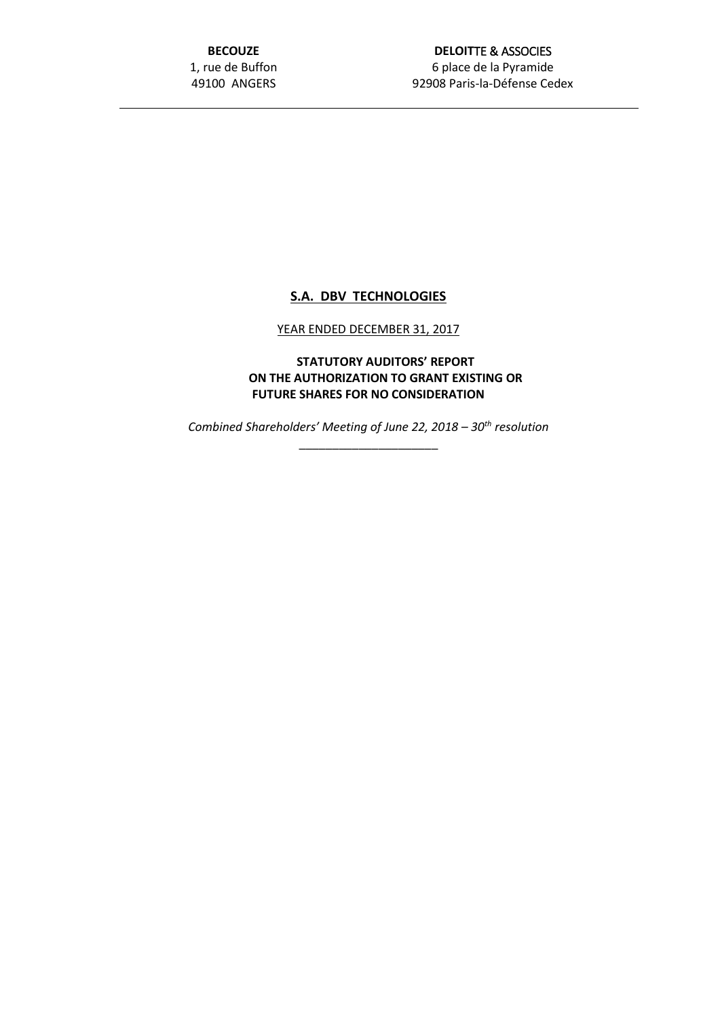**BECOUZE** 1, rue de Buffon 49100 ANGERS

## **DELOIT**TE & ASSOCIES 6 place de la Pyramide 92908 Paris-la-Défense Cedex

## **S.A. DBV TECHNOLOGIES**

## YEAR ENDED DECEMBER 31, 2017

**STATUTORY AUDITORS' REPORT ON THE AUTHORIZATION TO GRANT EXISTING OR FUTURE SHARES FOR NO CONSIDERATION**

*Combined Shareholders' Meeting of June 22, 2018 – 30th resolution*

\_\_\_\_\_\_\_\_\_\_\_\_\_\_\_\_\_\_\_\_\_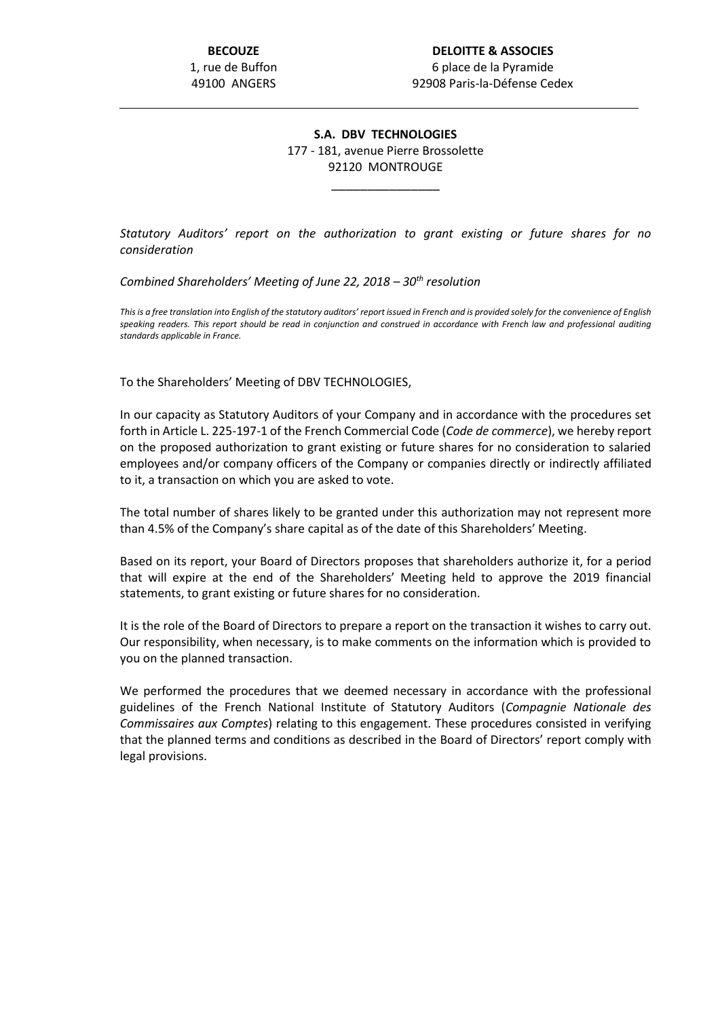## **S.A. DBV TECHNOLOGIES** 177 - 181, avenue Pierre Brossolette 92120 MONTROUGE

\_\_\_\_\_\_\_\_\_\_\_\_\_\_\_

*Statutory Auditors' report on the authorization to grant existing or future shares for no consideration*

*Combined Shareholders' Meeting of June 22, 2018 – 30th resolution*

*This is a free translation into English of the statutory auditors' report issued in French and is provided solely for the convenience of English speaking readers. This report should be read in conjunction and construed in accordance with French law and professional auditing standards applicable in France.*

To the Shareholders' Meeting of DBV TECHNOLOGIES,

In our capacity as Statutory Auditors of your Company and in accordance with the procedures set forth in Article L. 225-197-1 of the French Commercial Code (*Code de commerce*), we hereby report on the proposed authorization to grant existing or future shares for no consideration to salaried employees and/or company officers of the Company or companies directly or indirectly affiliated to it, a transaction on which you are asked to vote.

The total number of shares likely to be granted under this authorization may not represent more than 4.5% of the Company's share capital as of the date of this Shareholders' Meeting.

Based on its report, your Board of Directors proposes that shareholders authorize it, for a period that will expire at the end of the Shareholders' Meeting held to approve the 2019 financial statements, to grant existing or future shares for no consideration.

It is the role of the Board of Directors to prepare a report on the transaction it wishes to carry out. Our responsibility, when necessary, is to make comments on the information which is provided to you on the planned transaction.

We performed the procedures that we deemed necessary in accordance with the professional guidelines of the French National Institute of Statutory Auditors (*Compagnie Nationale des Commissaires aux Comptes*) relating to this engagement. These procedures consisted in verifying that the planned terms and conditions as described in the Board of Directors' report comply with legal provisions.